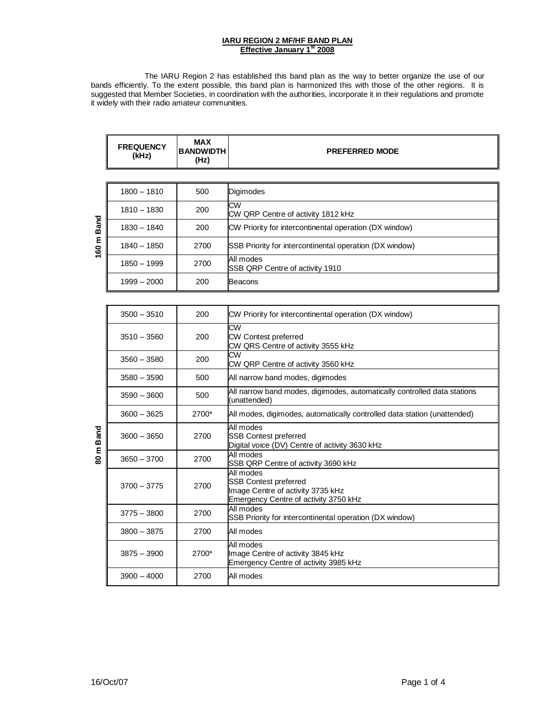## **IARU REGION 2 MF/HF BAND PLAN Effective January 1st 2008**

The IARU Region 2 has established this band plan as the way to better organize the use of our bands efficiently. To the extent possible, this band plan is harmonized this with those of the other regions. It is suggested that Member Societies, in coordination with the authorities, incorporate it in their regulations and promote it widely with their radio amateur communities.

|                      | <b>FREQUENCY</b><br>(kHz) | <b>MAX</b><br><b>BANDWIDTH</b><br>(Hz) | <b>PREFERRED MODE</b>                                                                                                   |
|----------------------|---------------------------|----------------------------------------|-------------------------------------------------------------------------------------------------------------------------|
|                      |                           |                                        |                                                                                                                         |
|                      | $1800 - 1810$             | 500                                    | Digimodes                                                                                                               |
| <b>Band</b><br>160 m | $1810 - 1830$             | 200                                    | <b>CW</b><br>CW QRP Centre of activity 1812 kHz                                                                         |
|                      | 1830 - 1840               | 200                                    | CW Priority for intercontinental operation (DX window)                                                                  |
|                      | $1840 - 1850$             | 2700                                   | SSB Priority for intercontinental operation (DX window)                                                                 |
|                      | 1850 - 1999               | 2700                                   | All modes<br>SSB QRP Centre of activity 1910                                                                            |
|                      | $1999 - 2000$             | 200                                    | <b>Beacons</b>                                                                                                          |
|                      |                           |                                        |                                                                                                                         |
|                      | $3500 - 3510$             | 200                                    | CW Priority for intercontinental operation (DX window)                                                                  |
|                      | $3510 - 3560$             | 200                                    | CW<br><b>CW Contest preferred</b><br>CW QRS Centre of activity 3555 kHz                                                 |
|                      | $3560 - 3580$             | 200                                    | $\overline{\text{cw}}$<br>CW QRP Centre of activity 3560 kHz                                                            |
|                      | $3580 - 3590$             | 500                                    | All narrow band modes, digimodes                                                                                        |
|                      | $3590 - 3600$             | 500                                    | All narrow band modes, digimodes, automatically controlled data stations<br>(unattended)                                |
|                      | $3600 - 3625$             | 2700*                                  | All modes, digimodes, automatically controlled data station (unattended)                                                |
| <b>Band</b>          | $3600 - 3650$             | 2700                                   | All modes<br><b>SSB Contest preferred</b><br>Digital voice (DV) Centre of activity 3630 kHz                             |
| 80 m                 | $3650 - 3700$             | 2700                                   | All modes<br>SSB QRP Centre of activity 3690 kHz                                                                        |
|                      | $3700 - 3775$             | 2700                                   | All modes<br><b>SSB Contest preferred</b><br>Image Centre of activity 3735 kHz<br>Emergency Centre of activity 3750 kHz |
|                      | $3775 - 3800$             | 2700                                   | All modes<br>SSB Priority for intercontinental operation (DX window)                                                    |
|                      | $3800 - 3875$             | 2700                                   | All modes                                                                                                               |
|                      | $3875 - 3900$             | 2700*                                  | All modes<br>Image Centre of activity 3845 kHz<br>Emergency Centre of activity 3985 kHz                                 |
|                      | $3900 - 4000$             | 2700                                   | All modes                                                                                                               |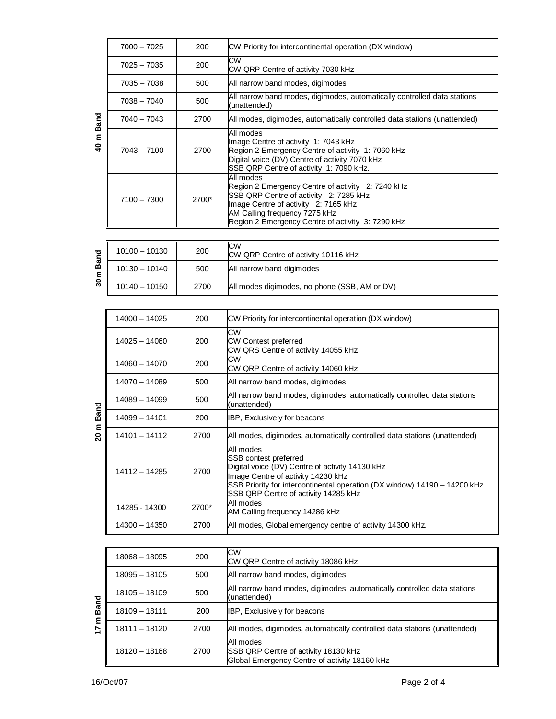| 40 m Band            |                 |       |                                                                                                                                                                                                                                                  |
|----------------------|-----------------|-------|--------------------------------------------------------------------------------------------------------------------------------------------------------------------------------------------------------------------------------------------------|
|                      | $7000 - 7025$   | 200   | CW Priority for intercontinental operation (DX window)                                                                                                                                                                                           |
|                      | $7025 - 7035$   | 200   | CW<br>CW QRP Centre of activity 7030 kHz                                                                                                                                                                                                         |
|                      | 7035 - 7038     | 500   | All narrow band modes, digimodes                                                                                                                                                                                                                 |
|                      | 7038 - 7040     | 500   | All narrow band modes, digimodes, automatically controlled data stations<br>(unattended)                                                                                                                                                         |
|                      | 7040 - 7043     | 2700  | All modes, digimodes, automatically controlled data stations (unattended)                                                                                                                                                                        |
|                      | 7043 - 7100     | 2700  | All modes<br>Image Centre of activity 1: 7043 kHz<br>Region 2 Emergency Centre of activity 1: 7060 kHz<br>Digital voice (DV) Centre of activity 7070 kHz<br>SSB QRP Centre of activity 1: 7090 kHz.                                              |
|                      | 7100 - 7300     | 2700* | All modes<br>Region 2 Emergency Centre of activity 2: 7240 kHz<br>SSB QRP Centre of activity 2: 7285 kHz<br>Image Centre of activity 2: 7165 kHz<br>AM Calling frequency 7275 kHz<br>Region 2 Emergency Centre of activity 3: 7290 kHz           |
|                      |                 |       |                                                                                                                                                                                                                                                  |
|                      | 10100 - 10130   | 200   | CW<br>CW QRP Centre of activity 10116 kHz                                                                                                                                                                                                        |
| 30 <sub>m</sub> Band | 10130 - 10140   | 500   | All narrow band digimodes                                                                                                                                                                                                                        |
|                      | 10140 - 10150   | 2700  | All modes digimodes, no phone (SSB, AM or DV)                                                                                                                                                                                                    |
|                      |                 |       |                                                                                                                                                                                                                                                  |
|                      | $14000 - 14025$ | 200   | CW Priority for intercontinental operation (DX window)                                                                                                                                                                                           |
|                      | 14025 - 14060   | 200   | <b>CW</b><br><b>CW Contest preferred</b><br>CW QRS Centre of activity 14055 kHz                                                                                                                                                                  |
|                      | 14060 - 14070   | 200   | СW<br>CW QRP Centre of activity 14060 kHz                                                                                                                                                                                                        |
|                      | 14070 - 14089   | 500   | All narrow band modes, digimodes                                                                                                                                                                                                                 |
|                      | 14089 - 14099   | 500   | All narrow band modes, digimodes, automatically controlled data stations<br>(unattended)                                                                                                                                                         |
| 20 <sub>m</sub> Band | 14099 - 14101   | 200   | IBP, Exclusively for beacons                                                                                                                                                                                                                     |
|                      | 14101 - 14112   | 2700  | All modes, digimodes, automatically controlled data stations (unattended)                                                                                                                                                                        |
|                      | 14112 - 14285   | 2700  | All modes<br>SSB contest preferred<br>Digital voice (DV) Centre of activity 14130 kHz<br>Image Centre of activity 14230 kHz<br>SSB Priority for intercontinental operation (DX window) 14190 - 14200 kHz<br>SSB QRP Centre of activity 14285 kHz |
|                      | 14285 - 14300   | 2700* | All modes<br>AM Calling frequency 14286 kHz                                                                                                                                                                                                      |
|                      | 14300 - 14350   | 2700  | All modes, Global emergency centre of activity 14300 kHz.                                                                                                                                                                                        |
|                      |                 |       |                                                                                                                                                                                                                                                  |
| 17 <sub>m</sub> Band | 18068 - 18095   | 200   | <b>CW</b><br>CW QRP Centre of activity 18086 kHz                                                                                                                                                                                                 |
|                      | 18095 - 18105   | 500   | All narrow band modes, digimodes                                                                                                                                                                                                                 |
|                      | 18105 - 18109   | 500   | All narrow band modes, digimodes, automatically controlled data stations<br>unattended)                                                                                                                                                          |
|                      | 18109 - 18111   | 200   | IBP, Exclusively for beacons                                                                                                                                                                                                                     |
|                      | 18111 - 18120   | 2700  | All modes, digimodes, automatically controlled data stations (unattended)                                                                                                                                                                        |
|                      | 18120 - 18168   | 2700  | All modes<br>SSB QRP Centre of activity 18130 kHz<br>Global Emergency Centre of activity 18160 kHz                                                                                                                                               |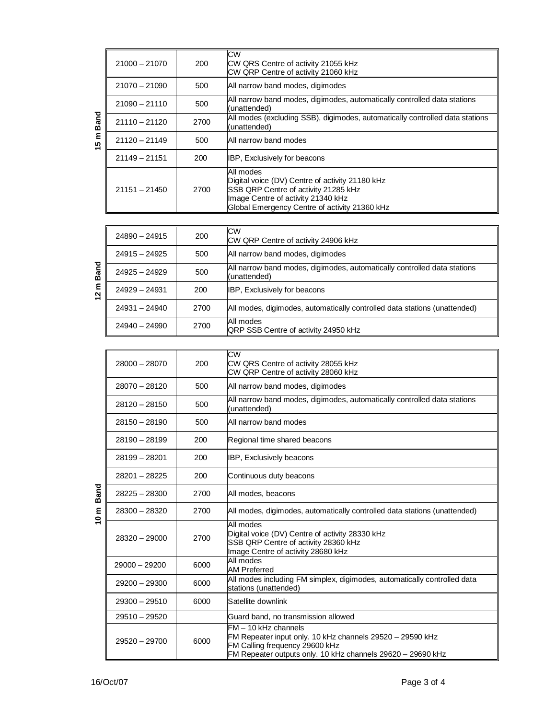| 15 <sub>m</sub> Band | 21000 - 21070   | 200  | <b>CW</b><br>CW QRS Centre of activity 21055 kHz<br>CW QRP Centre of activity 21060 kHz                                                                                                                   |
|----------------------|-----------------|------|-----------------------------------------------------------------------------------------------------------------------------------------------------------------------------------------------------------|
|                      | 21070 - 21090   | 500  | All narrow band modes, digimodes                                                                                                                                                                          |
|                      | $21090 - 21110$ | 500  | All narrow band modes, digimodes, automatically controlled data stations<br>(unattended)                                                                                                                  |
|                      | $21110 - 21120$ | 2700 | All modes (excluding SSB), digimodes, automatically controlled data stations<br>(unattended)                                                                                                              |
|                      | 21120 - 21149   | 500  | All narrow band modes                                                                                                                                                                                     |
|                      | 21149 - 21151   | 200  | IBP, Exclusively for beacons                                                                                                                                                                              |
|                      | 21151 - 21450   | 2700 | All modes<br>Digital voice (DV) Centre of activity 21180 kHz<br>SSB QRP Centre of activity 21285 kHz<br>Image Centre of activity 21340 kHz<br>Global Emergency Centre of activity 21360 kHz               |
|                      |                 |      |                                                                                                                                                                                                           |
|                      | 24890 - 24915   | 200  | <b>CW</b><br>CW QRP Centre of activity 24906 kHz                                                                                                                                                          |
|                      | 24915 - 24925   | 500  | All narrow band modes, digimodes                                                                                                                                                                          |
| 2 <sub>m</sub> Band  | 24925 - 24929   | 500  | All narrow band modes, digimodes, automatically controlled data stations<br>(unattended)                                                                                                                  |
|                      | 24929 - 24931   | 200  | IBP, Exclusively for beacons                                                                                                                                                                              |
|                      | 24931 - 24940   | 2700 | All modes, digimodes, automatically controlled data stations (unattended)                                                                                                                                 |
|                      | 24940 - 24990   | 2700 | All modes<br>QRP SSB Centre of activity 24950 kHz                                                                                                                                                         |
|                      |                 |      |                                                                                                                                                                                                           |
|                      | $28000 - 28070$ | 200  | СW<br>CW QRS Centre of activity 28055 kHz<br>CW QRP Centre of activity 28060 kHz                                                                                                                          |
|                      | 28070 - 28120   | 500  | All narrow band modes, digimodes                                                                                                                                                                          |
|                      | 28120 - 28150   | 500  | All narrow band modes, digimodes, automatically controlled data stations<br>(unattended)                                                                                                                  |
|                      | 28150 - 28190   | 500  | All narrow band modes                                                                                                                                                                                     |
|                      | 28190 - 28199   | 200  | Regional time shared beacons                                                                                                                                                                              |
|                      | 28199 - 28201   | 200  | IBP, Exclusively beacons                                                                                                                                                                                  |
|                      | 28201-28225     | 200  | Continuous duty beacons                                                                                                                                                                                   |
| Band                 | 28225 - 28300   | 2700 | All modes, beacons                                                                                                                                                                                        |
| 10 m                 | 28300 - 28320   | 2700 | All modes, digimodes, automatically controlled data stations (unattended)                                                                                                                                 |
|                      | 28320 - 29000   | 2700 | All modes<br>Digital voice (DV) Centre of activity 28330 kHz<br>SSB QRP Centre of activity 28360 kHz<br>Image Centre of activity 28680 kHz                                                                |
|                      | 29000 - 29200   | 6000 | All modes<br><b>AM Preferred</b>                                                                                                                                                                          |
|                      | 29200 - 29300   | 6000 | All modes including FM simplex, digimodes, automatically controlled data<br>stations (unattended)                                                                                                         |
|                      | 29300 - 29510   | 6000 | Satellite downlink                                                                                                                                                                                        |
|                      | 29510 - 29520   |      | Guard band, no transmission allowed                                                                                                                                                                       |
|                      | 29520 - 29700   | 6000 | FM - 10 kHz channels<br>FM Repeater input only. 10 kHz channels 29520 - 29590 kHz<br>FM Calling frequency 29600 kHz<br>$EMD$ perceptor outpute only $10 \text{ kHz}$ abonnels $20620 - 20600 \text{ kHz}$ |

FM Repeater outputs only. 10 kHz channels 29620 – 29690 kHz